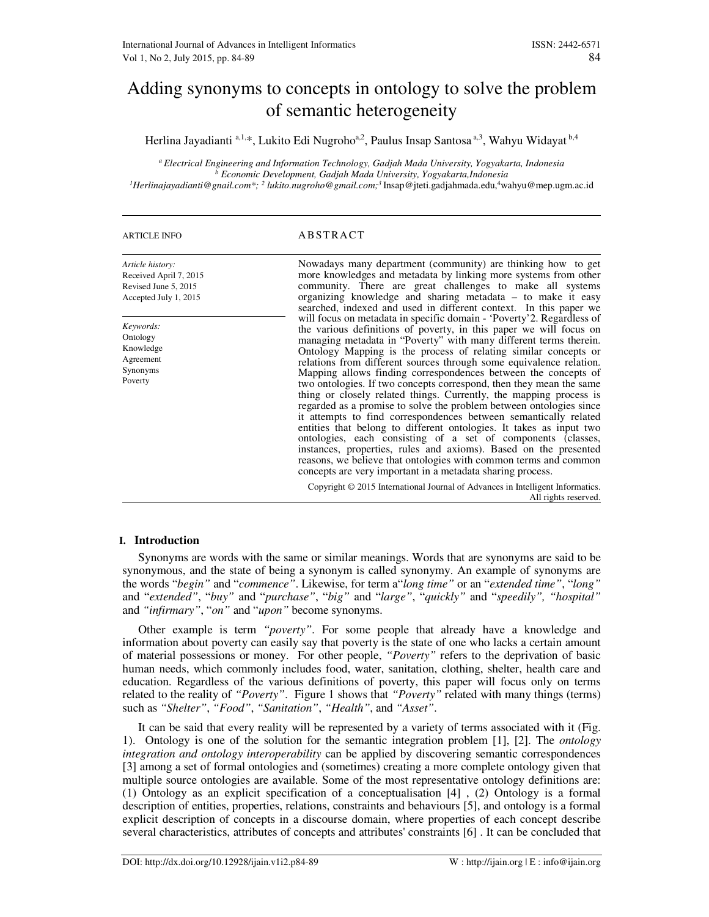# Adding synonyms to concepts in ontology to solve the problem of semantic heterogeneity

Herlina Jayadianti a,1,\*, Lukito Edi Nugroho<sup>a,2</sup>, Paulus Insap Santosa<sup>a,3</sup>, Wahyu Widayat <sup>b,4</sup>

*<sup>a</sup>Electrical Engineering and Information Technology, Gadjah Mada University, Yogyakarta, Indonesia b Economic Development, Gadjah Mada University, Yogyakarta,Indonesia* 

*<sup>1</sup>Herlinajayadianti@gnail.com\*; <sup>2</sup> lukito.nugroho@gmail.com;<sup>3</sup>*Insap@jteti.gadjahmada.edu,<sup>4</sup>wahyu@mep.ugm.ac.id

## ARTICLE INFO ABSTRACT

| Article history:<br>Received April 7, 2015<br>Revised June 5, 2015<br>Accepted July 1, 2015<br>Keywords:<br>Ontology<br>Knowledge<br>Agreement<br>Synonyms<br>Poverty | Nowadays many department (community) are thinking how to get<br>more knowledges and metadata by linking more systems from other<br>community. There are great challenges to make all systems<br>organizing knowledge and sharing metadata – to make it easy<br>searched, indexed and used in different context. In this paper we<br>will focus on metadata in specific domain - 'Poverty' 2. Regardless of<br>the various definitions of poverty, in this paper we will focus on<br>managing metadata in "Poverty" with many different terms therein.<br>Ontology Mapping is the process of relating similar concepts or<br>relations from different sources through some equivalence relation.<br>Mapping allows finding correspondences between the concepts of<br>two ontologies. If two concepts correspond, then they mean the same<br>thing or closely related things. Currently, the mapping process is<br>regarded as a promise to solve the problem between ontologies since<br>it attempts to find correspondences between semantically related<br>entities that belong to different ontologies. It takes as input two<br>ontologies, each consisting of a set of components (classes,<br>instances, properties, rules and axioms). Based on the presented<br>reasons, we believe that ontologies with common terms and common<br>concepts are very important in a metadata sharing process. |
|-----------------------------------------------------------------------------------------------------------------------------------------------------------------------|--------------------------------------------------------------------------------------------------------------------------------------------------------------------------------------------------------------------------------------------------------------------------------------------------------------------------------------------------------------------------------------------------------------------------------------------------------------------------------------------------------------------------------------------------------------------------------------------------------------------------------------------------------------------------------------------------------------------------------------------------------------------------------------------------------------------------------------------------------------------------------------------------------------------------------------------------------------------------------------------------------------------------------------------------------------------------------------------------------------------------------------------------------------------------------------------------------------------------------------------------------------------------------------------------------------------------------------------------------------------------------------------------------|
|                                                                                                                                                                       | Copyright © 2015 International Journal of Advances in Intelligent Informatics.<br>All rights reserved.                                                                                                                                                                                                                                                                                                                                                                                                                                                                                                                                                                                                                                                                                                                                                                                                                                                                                                                                                                                                                                                                                                                                                                                                                                                                                                 |

## **I. Introduction**

Synonyms are words with the same or similar meanings. Words that are synonyms are said to be synonymous, and the state of being a synonym is called synonymy. An example of synonyms are the words "*begin"* and "*commence"*. Likewise, for term a"*long time"* or an "*extended time"*, "*long"* and "*extended"*, "*buy"* and "*purchase"*, "*big"* and "*large"*, "*quickly"* and "*speedily", "hospital"*  and *"infirmary"*, "*on"* and "*upon"* become synonyms.

Other example is term *"poverty"*. For some people that already have a knowledge and information about poverty can easily say that poverty is the state of one who lacks a certain amount of material possessions or money. For other people, *"Poverty"* refers to the deprivation of basic human needs, which commonly includes food, water, sanitation, clothing, shelter, health care and education. Regardless of the various definitions of poverty, this paper will focus only on terms related to the reality of *"Poverty"*. Figure 1 shows that *"Poverty"* related with many things (terms) such as *"Shelter"*, *"Food"*, *"Sanitation"*, *"Health"*, and *"Asset"*.

It can be said that every reality will be represented by a variety of terms associated with it (Fig. 1). Ontology is one of the solution for the semantic integration problem [1], [2]. The *ontology integration and ontology interoperability* can be applied by discovering semantic correspondences [3] among a set of formal ontologies and (sometimes) creating a more complete ontology given that multiple source ontologies are available. Some of the most representative ontology definitions are: (1) Ontology as an explicit specification of a conceptualisation [4] , (2) Ontology is a formal description of entities, properties, relations, constraints and behaviours [5], and ontology is a formal explicit description of concepts in a discourse domain, where properties of each concept describe several characteristics, attributes of concepts and attributes' constraints [6] . It can be concluded that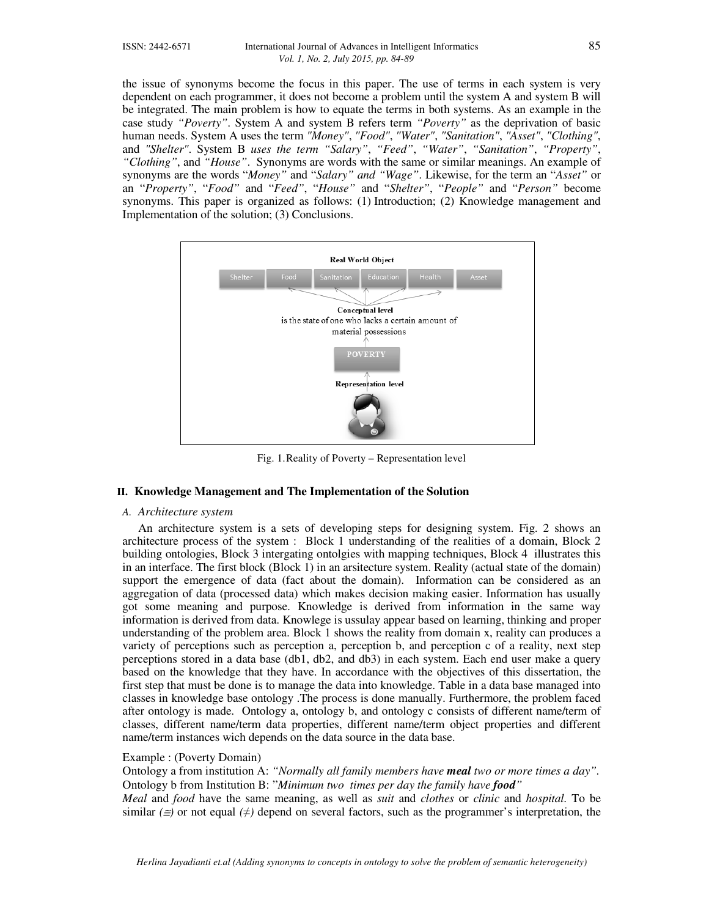the issue of synonyms become the focus in this paper. The use of terms in each system is very dependent on each programmer, it does not become a problem until the system A and system B will be integrated. The main problem is how to equate the terms in both systems. As an example in the case study *"Poverty"*. System A and system B refers term *"Poverty"* as the deprivation of basic human needs. System A uses the term *"Money"*, *"Food"*, *"Water"*, *"Sanitation"*, *"Asset"*, *"Clothing"*, and *"Shelter"*. System B *uses the term "Salary"*, *"Feed"*, *"Water"*, *"Sanitation"*, *"Property"*, *"Clothing"*, and *"House"*. Synonyms are words with the same or similar meanings. An example of synonyms are the words "*Money"* and "*Salary" and "Wage"*. Likewise, for the term an "*Asset"* or an "*Property"*, "*Food"* and "*Feed"*, "*House"* and "*Shelter"*, "*People"* and "*Person"* become synonyms. This paper is organized as follows: (1) Introduction; (2) Knowledge management and Implementation of the solution; (3) Conclusions.



Fig. 1.Reality of Poverty – Representation level

# **II. Knowledge Management and The Implementation of the Solution**

# *A. Architecture system*

An architecture system is a sets of developing steps for designing system. Fig. 2 shows an architecture process of the system : Block 1 understanding of the realities of a domain, Block 2 building ontologies, Block 3 intergating ontolgies with mapping techniques, Block 4 illustrates this in an interface. The first block (Block 1) in an arsitecture system. Reality (actual state of the domain) support the emergence of data (fact about the domain). Information can be considered as an aggregation of data (processed data) which makes decision making easier. Information has usually got some meaning and purpose. Knowledge is derived from information in the same way information is derived from data. Knowlege is ussulay appear based on learning, thinking and proper understanding of the problem area. Block 1 shows the reality from domain x, reality can produces a variety of perceptions such as perception a, perception b, and perception c of a reality, next step perceptions stored in a data base (db1, db2, and db3) in each system. Each end user make a query based on the knowledge that they have. In accordance with the objectives of this dissertation, the first step that must be done is to manage the data into knowledge. Table in a data base managed into classes in knowledge base ontology .The process is done manually. Furthermore, the problem faced after ontology is made. Ontology a, ontology b, and ontology c consists of different name/term of classes, different name/term data properties, different name/term object properties and different name/term instances wich depends on the data source in the data base.

# Example : (Poverty Domain)

Ontology a from institution A: *"Normally all family members have meal two or more times a day".*  Ontology b from Institution B: "*Minimum two times per day the family have food" Meal* and *food* have the same meaning, as well as *suit* and *clothes* or *clinic* and *hospital.* To be similar  $(\equiv)$  or not equal  $(\neq)$  depend on several factors, such as the programmer's interpretation, the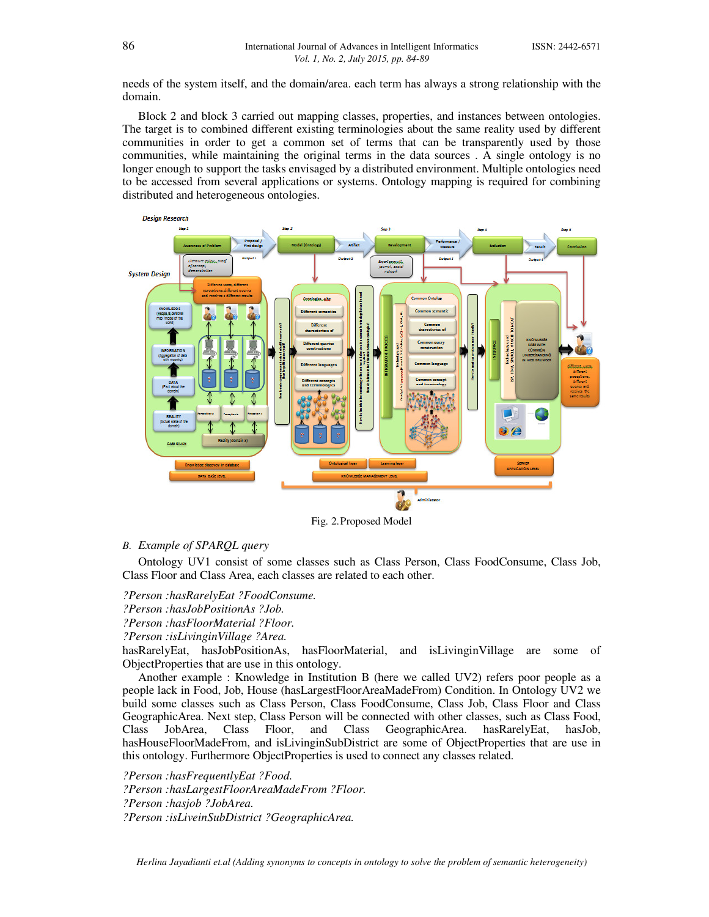needs of the system itself, and the domain/area. each term has always a strong relationship with the domain.

Block 2 and block 3 carried out mapping classes, properties, and instances between ontologies. The target is to combined different existing terminologies about the same reality used by different communities in order to get a common set of terms that can be transparently used by those communities, while maintaining the original terms in the data sources . A single ontology is no longer enough to support the tasks envisaged by a distributed environment. Multiple ontologies need to be accessed from several applications or systems. Ontology mapping is required for combining distributed and heterogeneous ontologies.



Fig. 2.Proposed Model

# *B. Example of SPARQL query*

Ontology UV1 consist of some classes such as Class Person, Class FoodConsume, Class Job, Class Floor and Class Area, each classes are related to each other.

*?Person :hasRarelyEat ?FoodConsume. ?Person :hasJobPositionAs ?Job. ?Person :hasFloorMaterial ?Floor. ?Person :isLivinginVillage ?Area.* 

hasRarelyEat, hasJobPositionAs, hasFloorMaterial, and isLivinginVillage are some of ObjectProperties that are use in this ontology.

Another example : Knowledge in Institution B (here we called UV2) refers poor people as a people lack in Food, Job, House (hasLargestFloorAreaMadeFrom) Condition. In Ontology UV2 we build some classes such as Class Person, Class FoodConsume, Class Job, Class Floor and Class GeographicArea. Next step, Class Person will be connected with other classes, such as Class Food, Class JobArea, Class Floor, and Class GeographicArea. hasRarelyEat, hasJob, hasHouseFloorMadeFrom, and isLivinginSubDistrict are some of ObjectProperties that are use in this ontology. Furthermore ObjectProperties is used to connect any classes related.

*?Person :hasFrequentlyEat ?Food. ?Person :hasLargestFloorAreaMadeFrom ?Floor. ?Person :hasjob ?JobArea. ?Person :isLiveinSubDistrict ?GeographicArea.*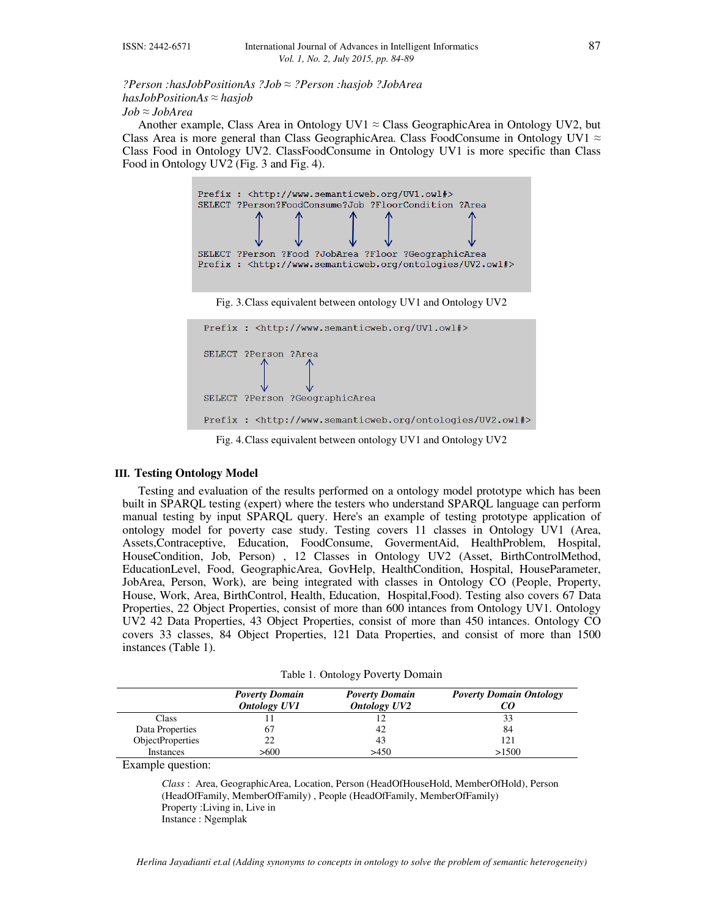*?Person :hasJobPositionAs ?Job ≈ ?Person :hasjob ?JobArea hasJobPositionAs ≈ hasjob Job ≈ JobArea* 

Another example, Class Area in Ontology UV1  $\approx$  Class GeographicArea in Ontology UV2, but Class Area is more general than Class GeographicArea. Class FoodConsume in Ontology UV1  $\approx$ Class Food in Ontology UV2. ClassFoodConsume in Ontology UV1 is more specific than Class Food in Ontology UV2 (Fig. 3 and Fig. 4).



Fig. 4.Class equivalent between ontology UV1 and Ontology UV2

## **III. Testing Ontology Model**

Testing and evaluation of the results performed on a ontology model prototype which has been built in SPARQL testing (expert) where the testers who understand SPARQL language can perform manual testing by input SPARQL query. Here's an example of testing prototype application of ontology model for poverty case study. Testing covers 11 classes in Ontology UV1 (Area, Assets,Contraceptive, Education, FoodConsume, GovermentAid, HealthProblem, Hospital, HouseCondition, Job, Person) , 12 Classes in Ontology UV2 (Asset, BirthControlMethod, EducationLevel, Food, GeographicArea, GovHelp, HealthCondition, Hospital, HouseParameter, JobArea, Person, Work), are being integrated with classes in Ontology CO (People, Property, House, Work, Area, BirthControl, Health, Education, Hospital,Food). Testing also covers 67 Data Properties, 22 Object Properties, consist of more than 600 intances from Ontology UV1. Ontology UV2 42 Data Properties, 43 Object Properties, consist of more than 450 intances. Ontology CO covers 33 classes, 84 Object Properties, 121 Data Properties, and consist of more than 1500 instances (Table 1).

|  | Table 1. Ontology Poverty Domain |  |  |
|--|----------------------------------|--|--|
|--|----------------------------------|--|--|

|                         | <b>Poverty Domain</b><br><b>Ontology UV1</b> | <b>Poverty Domain</b><br><b>Ontology UV2</b> | <b>Poverty Domain Ontology</b> |
|-------------------------|----------------------------------------------|----------------------------------------------|--------------------------------|
| Class                   |                                              |                                              |                                |
| Data Properties         | 67                                           | 42                                           | 84                             |
| <b>ObjectProperties</b> | 22                                           | 43                                           | 121                            |
| <b>Instances</b>        | >600                                         | >450                                         | >1500                          |

Example question:

*Class* : Area, GeographicArea, Location, Person (HeadOfHouseHold, MemberOfHold), Person (HeadOfFamily, MemberOfFamily) , People (HeadOfFamily, MemberOfFamily) Property :Living in, Live in Instance : Ngemplak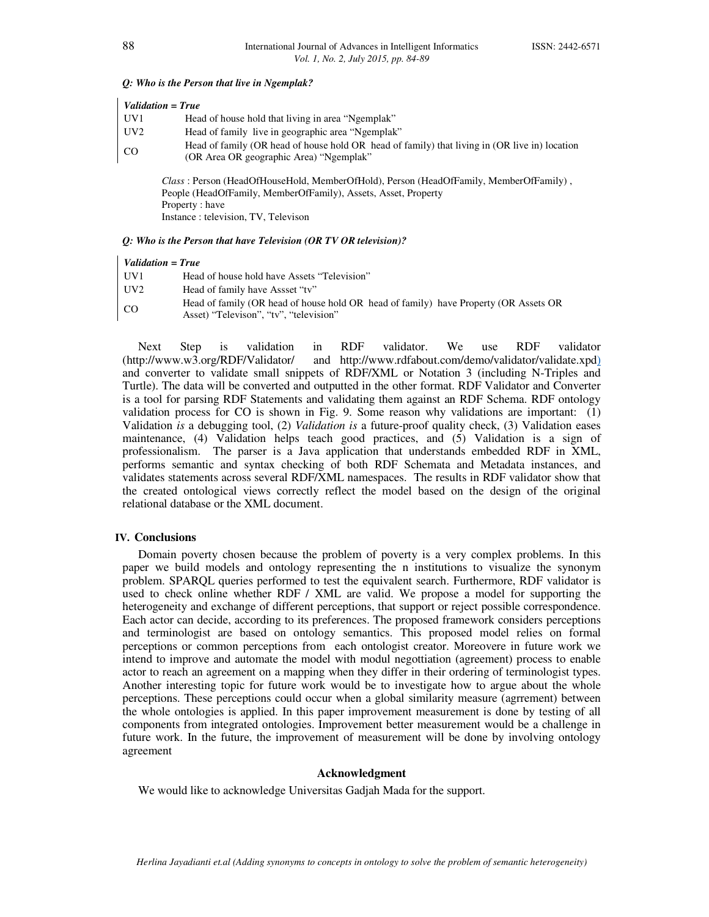#### *Q: Who is the Person that live in Ngemplak?*

| UV1             | Head of house hold that living in area "Ngemplak"                                                                                        |
|-----------------|------------------------------------------------------------------------------------------------------------------------------------------|
| UV <sub>2</sub> | Head of family live in geographic area "Ngemplak"                                                                                        |
| <sub>CO</sub>   | Head of family (OR head of house hold OR head of family) that living in (OR live in) location<br>(OR Area OR geographic Area) "Ngemplak" |
|                 | $\alpha$ n $\alpha$ in the model of the $\alpha$ in the $\alpha$ in $\alpha$ in $\alpha$ in $\alpha$ in $\alpha$                         |

*Class* : Person (HeadOfHouseHold, MemberOfHold), Person (HeadOfFamily, MemberOfFamily) , People (HeadOfFamily, MemberOfFamily), Assets, Asset, Property Property : have Instance : television, TV, Televison

#### *Q: Who is the Person that have Television (OR TV OR television)?*

| UV1 | Head of house hold have Assets "Television" |
|-----|---------------------------------------------|
|-----|---------------------------------------------|

- UV2 Head of family have Assset "tv"
- CO Head of family (OR head of house hold OR head of family) have Property (OR Assets OR Asset) "Televison", "tv", "television"

Next Step is validation in RDF validator. We use RDF validator (http://www.w3.org/RDF/Validator/ and http://www.rdfabout.com/demo/validator/validate.xpd) and converter to validate small snippets of RDF/XML or Notation 3 (including N-Triples and Turtle). The data will be converted and outputted in the other format. RDF Validator and Converter is a tool for parsing RDF Statements and validating them against an RDF Schema. RDF ontology validation process for CO is shown in Fig. 9. Some reason why validations are important: (1) Validation *is* a debugging tool, (2) *Validation is* a future-proof quality check, (3) Validation eases maintenance, (4) Validation helps teach good practices, and (5) Validation is a sign of professionalism. The parser is a Java application that understands embedded RDF in XML, performs semantic and syntax checking of both RDF Schemata and Metadata instances, and validates statements across several RDF/XML namespaces. The results in RDF validator show that the created ontological views correctly reflect the model based on the design of the original relational database or the XML document.

## **IV. Conclusions**

Domain poverty chosen because the problem of poverty is a very complex problems. In this paper we build models and ontology representing the n institutions to visualize the synonym problem. SPARQL queries performed to test the equivalent search. Furthermore, RDF validator is used to check online whether RDF / XML are valid. We propose a model for supporting the heterogeneity and exchange of different perceptions, that support or reject possible correspondence. Each actor can decide, according to its preferences. The proposed framework considers perceptions and terminologist are based on ontology semantics. This proposed model relies on formal perceptions or common perceptions from each ontologist creator. Moreovere in future work we intend to improve and automate the model with modul negottiation (agreement) process to enable actor to reach an agreement on a mapping when they differ in their ordering of terminologist types. Another interesting topic for future work would be to investigate how to argue about the whole perceptions. These perceptions could occur when a global similarity measure (agrrement) between the whole ontologies is applied. In this paper improvement measurement is done by testing of all components from integrated ontologies. Improvement better measurement would be a challenge in future work. In the future, the improvement of measurement will be done by involving ontology agreement

## **Acknowledgment**

We would like to acknowledge Universitas Gadjah Mada for the support.